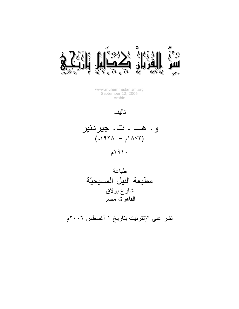

www.muhammadanism.org September 12, 2006 Arabic

تأليف

و. هـــ . ت. جيردنير  $(724 - \lambda 77)$  $191.$ 



نشر على الإنترنيت بتاريخ ١ أغسطس ٢٠٠٦م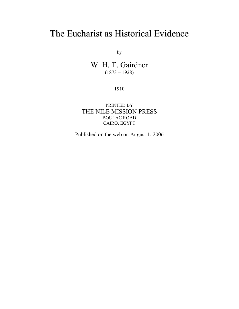# The Eucharist as Historical Evidence

by

W. H. T. Gairdner  $(1873 - 1928)$ 

1910

PRINTED BY THE NILE MISSION PRESS BOULAC ROAD CAIRO, EGYPT

Published on the web on August 1, 2006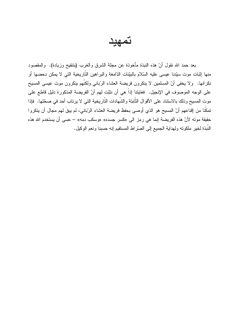تمهيد

بعد حمد الله نقول أنّ هذه النبذة مأخوذة عن مجلة الشرق والغرب (بنتقيح وزيادة). والمقصود منها إثبات موت سيّدنا عيسى عليه السّلام بالبيّنات الدّامغة والبراهين التّاريخية التي لا يمكن دحضـها أو نكرانها. ولا يخفى أنّ المسلمين لا ينكرون فريضة العشاء الرّباني ولكنّهم ينكرون موت عيسى المسيح على الوجه الموصوف في الإنجيل. فغايتنا إذاً هي أن نثبّت لهم أنّ الفريضة المذكورة دليل قاطع على موت المسيح وذلك بالاستناد على الأقوال الثَّابتة والشَّهادات النَّاريخية التي لا يرتاب أحد في صحَّتها. فإذا تمكَّنا من إقناعهم أنّ المسيح هو الذي أوصى بحفظ فريضة العشاء الرّباني، لم يبقَ لهم مجال أن ينكروا حقيقة موته لأنّ هذه الفريضة إنما هي رمز الى «كسر جسده» «وسكب دمه» – عسى أن يستخدم الله هذه النُّبذة لخير ملكوته ولهداية الجميع إلى الصَّر اط المستقيم إنه حسبنا ونعم الوكيل.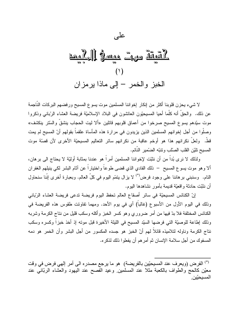# <u>Land J famas</u> 200 1919  $(1)$ الخبز والخمر – إلى ماذا يرمزان

على

لا شيء يحزن فلوبنا أكثر من إنكار إخواننا المسلمين موت يسوع المسيح ورفضهم البركات الناجمة عن ذلك. والحقُّ أنه كلَّما أحيا المسيحيّون العائشون في البلاد الإسلاميّة فريضة العشاء الرّبانـي وذكروا موت سيّدهم بسوع المسيح صرخوا من أعماق قلوبهم قائلين «ألا ليت الحجاب ينشق والسّتر ينكشف» وصلُّوا من أجل إخوانهم المسلمين الذين يزيدون في مرارة هذه المأساة علقماً بقولهم أنَّ المسيح لم يمت قطٌ. ولعلٌ نكرانهم هذا هو أوخم عاقبة من نكرانهم سائر التعاليم المسيحيّة الأخرى لأن قصنّة موت المسيح تليّن القلب الصّلب و تنبّه الضّمير النّائم.

ولذلك لا نر ي بُداً من أن نثبّت لإخواننا المسلمين أمراً هو عندنا بمثابة أوليّة لا يحتاج الى بر هان، ألا وهو موت يسوع المسيح – ذلك الفادي الذي قضبي طوعاً واختياراً عن آثام البشر لكي بنبلهم الغفر ان النام. وسنبني بر هاننا على وجود فرض<sup>(\*)</sup> لا يزال يتمّم اليوم في كلّ العالم. وبعبارة أخرى إنّنا سنحاول أن نثبّت حادثة واقعيّة قديمة بأمور نشاهدها البوم.

إنّ الكنائس المسيحيّة في سائر أصقاع العالم تحفظ اليوم فريضة تدعى فريضة العشاء الرّباني وذلك في اليوم الأول من الأسبوع (غالباً) أي في يوم الأحد. ومهما تفاوتت طقوس هذه الفريضة في الكنائس المختلفة فلا بدّ فيها من أمر ضروري وهو كسر الخبز وأكله وسكب قليل من نتاج الكرمة وشربه وذلك إطاعة للوصيّة التي فرضها السيّد المسيح في الليلة الأخيرة قبل موته إذ أخذ خبزاً وكسره وسكب نتاج الكرمة وناوله لتلاميذه قائلاً لهم أنّ الخبز هو جسده المكسور من أجل البشر وأن الخمر هو دمه المسفوك من أجل سلامة الإنسان ثم أمر هم أن يفعلوا ذلك لذكر ه.

<sup>(\*)</sup> الفرض (ويعرف عند المسيحيّين بالفريضة) هو ما يرجع مصدره الى أمر إلهي فرض في وقت معيّن كالحج والطواف بالكعبة مثلا عند المسلمين وعيد الفصح عند اليهود والعشاء الربّاني عند المسيحيّين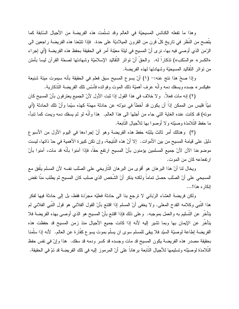وهذا ما نفعله الكنائس المسيحيّة في العالم وقد تسلّمت هذه الفريضة من الأجيال السّابقة كما يتَّضح من النُّظر في تاريخ كلُّ قرن من القرون الميلاديَّة على حدة. ۖ فإذا تتبَّعنا هذه الفريضة راجعين الي الزِّمن الذي أوصـى فيه بـها، نر ي أنِّ المسيح في ليلة معيّنة أمرٍ في الحقيقة بـحفظ هذه الفريضـة (أي إجراء «الكسر» «والسّكب») نذكاراً له. والحقُّ أنّ نواتر النّقاليد الإسلاميّة وشهادتها لصحّة القرآن ليسا بأمتن من نواتر النقاليد المسيحيّة وشهادتها لهذه الفريضة.

وإذا صحِّ هذا نتج عنه:- (١) أنَّ يسوع المسيح سبق فعلم في الحقيقة بأنه سيموت ميتة شنيعة «فيكس» جسده ويسفك دمه وأنّه عرف أهميّة ذلك الموت وفوائده فأسّس نلك الفريضة التّذكارية.

(٢) إنه مات فعلاً. ۚ ولا خلاف في هذا القول إذا ثبت الأول لأنّ الجميع يعترفون بأنّ المسيح كان نبيّاً فليس من الممكن إذاً أن يكون قد أخطأ في نبوته عن حادثة مهمّة كهذه سيّما وأنّ تلك الحادثة (أي مونه) قد كانت عنده الغاية التي جاء من أجلها الى هذا العالم. هذا وأنَّه لو لم يسفك دمه ويمت كما نتبأ، ما حفظ التّلامذة وصبّته و لا أوصوا بها للأجبال التّابعة.

(٣) وهنالك أمر ثالث يثبّته حفظ هذه الفريضة وهو أنّ إجراءها في اليوم الأول من الأسبوع دليل على فيامة المسيح من بين الأموات. إلا أنّ هذه النَّتيجة، وإن تكن كبير ة الأهمية في حدّ ذاتها، ليست موضوعنا الآن لأنّ جميع المسلمين يؤمنون بأنّ المسيح ارتفع حقاً، فإذا آمنوا بأنّه قد مات، آمنوا بأنّ ار تفعاعه كان من الموت.

ويخال لنا أنّ هذا البرهان هو أقوى من البرهان التّاريخي على الصّلب نفسه لأن المسلم يتّفق مع المسيحي على أنّ الصّلب حصل تماماً ولكنه ينكر أنّ الشّخص الذي صلب كان المسيح ثم يطلب منّا نقض انكار ه هذا!...

ولكن فريضة العشاء الرّباني لا نرجع بنا الى حادثة فعليّه مجرّدة فقط، بل إلى حادثة فيها لفكر هذا النبي وكلامه القدح المعلى. ولا يخفي أنّ المسلم إذا اقتتع بأنّ القول الفلاني هو قول النبي الفلاني لم يتأخَّر عن التَّسليم به والعمل بموجبه. وعلى ذلك فإذا اقتنع بأنّ المسيح هو الذي أوصـي بهذه الفريضـة فلا يتأخَّر عن الإيمان بها وبما تشير إليه لأنه إذا كانت جميع الأجيال منذ زمن المسيح قد حفظت هذه الفريضة إطاعة لوصيّة السيّد فلا يبقى للمسلم سوى ان يسلّم بموت يسوع كفّارة عن العالم. لأنه إذا سلّمنا بحقيقة مصدر هذه الفريضة يكون المسيح قد مات وجسده قد كسر ودمه قد سفك. هذا وإنّ في نفس حفظ النَّلامذة لوصيَّته وتسليمها للأجيال النَّابعة بر هانـاً على أنّ المرموز إليه في تلك الفريضـة قد تمّ في الحقيقة.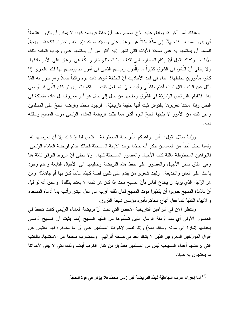و هنالك أمر آخر قد بوافق عليه الأخ المسلم و هو أنّ حفظ فريضة كهذه لا يمكن أن يكون اعتباطاً أي بدون سبب. فالحج(\*) إلى مكَّة مثلاً هو برهان على وصيّة محمّد بإجرائه واحترام الكعبة. ويحقّ للمسلم أن يستشهد به على صحّة الآيات التي تشير إليه أكثر من أن يستشهد على وجوب إنمامه بتلك الآيات. وكذلك نقول أنّ ركام الحجارة التي تقذف بها الحجّاج خارج مكَّة هي بر هان علي الأمر بقذفها. ولا يخفي أنّ الناس في الشرق كثيراً ما يقلدون رئيسهم الدّيني في أمور لم يوصـهم بـها فكم بالحري إذا كانوا مأمورين بحفظها؟ جاء في أحد الأحاديث أنّ الخليفة شوهد ذات يوم راكباً جملاً وهو يدور به فلمّا سُئل عن السّبب قال لست أعلم ولكنّني رأيت نبيّ الله يفعل ذلك – فكم بالحري لمو كان النّبي قد أوصـى به؟ فالقيام بالفرائض الرّمزيّة في الشّرق وحفظها من جيل إلى جيل هو أمر معروف بل عادة متملكة في النَّفس و إذا أمكننا تعزيز ها بالنَّواتر ثبت أنها حقيقة تاريخيَّة. فوجود محمّد وفرضـه الحجّ على المسلمين وغير ذلك من الأمور لا يثبتها الحجّ اليوم أكثر مما نثبّت فريضة العشاء الرّباني موت المسيح وسفكه دمه.

ورِبَّ سائلٍ يقول: ۖ أين براهينكم النَّارِيخية المخطوطة. ۖ فليس لنا إذ ذاك إلا أن نعرضها له. ولسنا نخال أحدا من المسلمين ينكر أنه حيثما توجد الدّيانة المسيحيّة فهنالك نتمّم فريضة العشاء الرّباني. فالبر اهين المخطوطة مالئة كتب الأجيال والعصور المسيحيّة كلها. ولا يخفى أنّ شروط التواتر نامّة هنا وهي انفاق سائر الأجيال والعصور على حفظ هذه الفريضة وتسليمها الى الأجيال النّابعة وعدم وجود باعث على الغش والخديعة. وليت شعري من يقدم على نلفيق قصـة كـهذه عالمـاً كان بـها أم جاهلاً؟ ومن هو الرَّجل الذي يريد ان يخدع النَّاس بأنّ المسيح مات إذا كان هو نفسه لا يعتقد بذلك؟ والحقِّ أنه لو قيل أنّ تلامذة المسيح حاولوا أن يكذبوا موت المسيح لكان ذلك أقرب الى عقل البشر وأشبه بما أدعاه المسحاء والأنبياء الكذبة كما فعل أنباع الحاكم بأمره مؤسّس شيعة الدّروز .

ولننظر الآن في البراهين التاريخية الأخص التي تثبت أنّ فريضة العشاء الرّباني كانت تحفظ في العصور الأولى أي منذ أزمنة الرّسل الذين تسلّموها من السّيد المسيح (مما يثبت أنّ المسيح أوصىي بحفظها إشارة الى موته وسفك دمه) وإننا نقسم لإخواننا المسلمين على أنّ ما سنذكره لمهم مقتبس عن أقوال المؤرِّخين المعروفين الذين لا يشك أحد في صحة أقوالهم. وسنضرب صفحاً عن الاستشهاد بالكتب التي يرفضها أعداء المسيحيَّة ليس من المسلمين فقط بل من كفار الغرب أيضـاً وذلك لكي لا يبقى لأعدائنا ما يحتجّون به علينا.

<sup>(\*)</sup> أما إجراء عرب الجاهليّة لهذه الفريضة قبل زمن محمّد فلا يؤثر في قوّة الحجّة<sub>.</sub>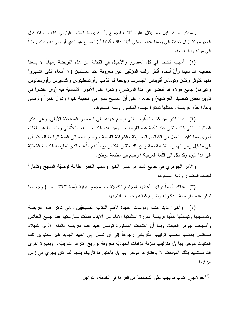وسنذكر ما قد قيل وما يقال علينا لنثبّت للجميع بأن فريضة العشاء الرّباني كانت تحفظ قبل الـهجرة ولا نترال نـحفظ إلـى يومنـا هذا. ۖ ومتـى أثبتنـا ذلك، أثبتنـا أنّ المسيح هو الذي أوصـى بـه وذلك رمزاً الىي موته وسفك دمه.

(١) أسهب الكتاب في كلِّ العصور والأجيال في الكتابة عن هذه الفريضة إسهاباً لا يسعنا نفصيله هنا سيّما وأنّ أسماء أكثر أولئك المؤلفين غير معروفة عند المسلمين (إلا أسماء الذين اشتهروا منهم كلوثر وكلفن ونوماس أقويناس الفيلسوف ويوحنًا فم الذَّهب وأوغسطينوس وأثناسيوس وأوريجانوس وغيرهم) جميع هؤلاء قد أفاضوا في هذا الموضوع واتفقوا على الأمور الأساسيّة فيه (وإن اختلفوا في تأويل بعض تفاصيله العرضيَّة) وأجمعوا على أنّ المسيح كسرٍ في الحقيقة خبزاً وناول خمراً وأوصىي بإعادة هذه الفريضة وحفظها تذكار اً لجسده المكسور ودمه المسفوك.

(٢) لدينا كثير من كتب الطَّقوس التي يرجع عهدها الى العصور المسيحيّة الأولى. وهي تذكر الصَّلوات الَّتي كانت نتلَّى عند نأدية هذه الفريضة. ومن هذه الكتب ما هو باللأنَّيني ومنها ما هو بلغات أخرى مما كان بستعمل في الكنائس المصريَّة والشرقيَّة القديمة ويرجع عهده الى المئة الرابعة للميلاد أي الى ما قبل زمن الهجرة بثلثمائة سنة ومن نلك طقس القدّيس بوحنًا فم الذّهب الذي تمارسه الكنيسة القبطيّة الى هذا اليوم وقد نقل الى اللُّغة العربية'') وطبع في مطبعة الوطن.

والأمر الجوهري في جميع ذلك هو كسر الخبز وسكب الخمر إطاعة لوصيّة المسيح ونذكارا لجسده المكسور ودمه المسفوك.

(٣) هنالك أيضاً قوانين أعدّتها المجامع الكنسيّة منذ مجمع نيقية (سنة ٣٢٣ ب. م) وجميعها تذكر هذه الفريضة التذكاريّة وتشرح كيفيّة وجوب القيام بها.

(٤) وأخيرا لدينا كتب ومؤلفات عديدة لأقدم الكتاب المسيحيّين وهي نذكر هذه الفريضة وتفاصيلها وتبسطها كأنها فريضة مقررة استلمتها الأباء من الأبناء فعمّت ممارستها عند جميع الكنائس وأصبحت جوهر العبادة. وبما أنّ الكتابات المذكورة توصل عهد هذه الفريضة بالمئة الأولى للميلاد فسنقتبس بعضها بحسب ترتيبها التاريخي رجوعاً إلى أن نصل إلى العهد الجديد غير معتبرين تلك الكتابات موحى بها بل منزلينها منزلة مؤلفات اعتياديّة معروفة تواريخ أكثرها النقريبيّة. وبعبارة أخرى إننا نستشهد بنلك المؤلفات لا باعتبارها موحى بها بل باعتبارها تاريخاً يشهد لما كان يجرى في زمن مؤلفيها.

<sup>(\*)</sup> خولاجي<sub>.</sub> كتاب ما يجب على الشمامسة من القراءة في الخدمة والتراتيل<sub>.</sub>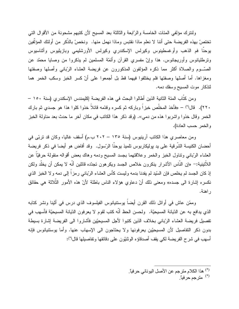ولننزك مؤلفي المئات الخامسة والرّابعة والثالثة بعد المسيح لأن كتبهم مشحونة من الأقوال التبي تختصَّ بهذه الفريضة حتى أننا لا نعلم ماذا نقتبس وماذا نهمل منها. ۖ ونخصَّ بالذِّكر من أولئك المؤلَّفين يوحنًا فم الذهب وأوغسطينوس وكيرلس الإسكندري وكيرلس الأورشليمي وبازيليوس وأثناسيوس ونرطليانوس وأوريجانوس. هذا وإنّ مفسري القرآن وأئمّة المسلمين لم يذكروا من وصايا محمّد عن الصَّــوم والصلاة أكثر مما ذكره المؤلفون المذكورون عن فريضة العشاء الرّبانـي وأصلـها وصفتها ومغزاها. أما أصلها وصفتها فلم يختلفوا فيهما قط بل أجمعوا على أنّ كسر الخبز وسكب الخمر هما لنذكار موت المسيح وسفك دمه.

و من كتاب المئة الثانية الذين أطالوا البحث في هذه الفريضة إكليمندس الإسكندر ي (سنة ١٥٠ – ٢٢٠). قال(\*) – «فأخذ المخلِّص خبزاً وباركه ثم كسره وقدَّمه قائلاً خذوا كلوا هذا هو جسدي ثم بارك الخمر وقال خذوا واشربوا هذه من دمي». (وقد ذكر هذا الكاتب في مكان آخر ما حدث بعد مناولة الخبز والخمر حسب العادة).

ومن معاصري هذا الكاتب آرينيوس (سنة ١٣٥ – ٢٠٢ ب.م) أسقف غاليا، وكان قد تربَّى في أحضان الكنيسة الشَّرقية على يد يوليكاريوس تلميذ يوحنًا الرِّسول. وقد أفاض هو أيضا في ذكر ٍ فريضة العشاء الرّبانـي ونناول الخبز والخمر وعلاقتهما بجسد المسيح ودمه وهاك بعض أقواله منقولة حرفيّاً عن اللأتينية:– «إن النَّاس الأشر إر ينكرون خلاص الجسد ويكر هون تجدّده قائلين أنّه لا يمكن أن يخلّد ولكن إذ كان الجسد لم يخلص فإن السَّيد لم يفدنا بدمه وليست كأس العشاء الرَّباني رمزاً إلى دمه ولا الخبز الذي نكسره إشارة الى جسده» ومعنى ذلك أنّ دعاوى هؤلاء الناس باطلة لأنّ هذه الأمور الثّلاثة هي حقائق ر اهنة.

وممّن عاش في أوائل ذلك القرن أيضاً بوستنيانوس الفيلسوف الذي درس في أثينا ونشر كتابه الذي يدافع به عن الدّيانة المسيحيّة. ولحسن الحظ أنّه كتب لقوم لا يعرفون الدّيانة المسيحيّة فأسهب في تفصيل فريضة العشاء الرّباني بخلاف الذين كتبوا لأجل المسيحيّين فأشاروا الى الفريضة إشارة بسيطة بدون ذكر التفاصيل لأن المسيحيِّين يعرفونها ولا يحتاجون الى الإسهاب عنها. وأما يوستتيانوس فإنه أسهب في شرح الفريضة لكي يقف أصدقاؤه الوثنيّون على دقائقها وتفاصيلها قال(\*):

<sup>(\*)</sup> مترجم حرفياً.

<sup>&</sup>lt;sup>(\*)</sup> هذا الكلام مترجم عن الأصل اليوناني حرفياً.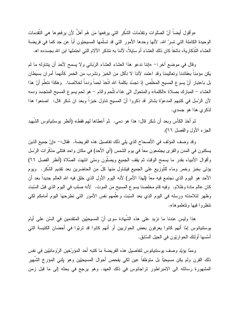«وأقول أيضـاً أنّ الصّلوات ونقدّمات الشّكر التي يرفعها مَن هُم أهلٌ لأن يرفعوها هي التّقدمات الوحيدة الكاملة التـى تسرّ الله. لأنها وحدها الأمور التـى قد تسلَّمها المسيحيّون أبـاً عن جد كما فـى فريضـة العشاء التَّذكارية، ناشفًا كان ذلك العشاء أم سايلًا، لأننا به نتذكر الآلام التي احتملها ابن الله بجسده» اهـ.

وقال في موضع آخر :– «إننا ندعو هذا العشاء العشاء الرّباني ولا يسمح لأحد أن يتناوله ما لم يكن مؤمناً بعقائدنا وتعاليمنا وقد اعتمد لأننا لا نأكل من الخبز ونشرب من الخمر كأنهما أمران بسيطان بل باعتبار أنّ يسوع المسيح المخلَّص إذ نجسّد بكلمة الله اتَّخذ لحماً ودماً لخلاصنا. وهكذا نتعلَّم أنّ هذا العشاء – المبارك بصلاة «الكلمة» والمتحول الى غذاء للَّحم والدّم – هو لحم يسوع المسيح المتجسد ودمه لأن الرّسل في كتبهم المدعوّة بشائر قد ذكروا أنّ المسيح نتاول خبزاً وبعد ان شكر قال: اصنعوا هذا لذكر ى هذا هو جسدى.

ثم أخذ الكأس وبعد أن شكر قال: هذا هو دمي. ثم أعطاها لـهم فقط» (أنظر بوستنيانوس الشُّهيد الجزء الأول والفصل ٦٦).

وقد وصف المؤلف في الأصحاح الذي يلي ذلك تفاصيل هذه الفريضة. فقال:– «إنّ جميع الذين يسكنون في المدن والقرى يجتمعون معا في يوم الشمس (أي الأحد) في مكان واحد فتتلَّى مذكرات الرَّسل وأقوال الأنبياء بقدر ما يسمح الوقت ثم يقف الجميع ويصلُّون ومتى انتهت الصَّلاة (أنظر الفصل ٦٦) يؤتي بخبز وخمر وماء للتَّوزيع على الجميع فيتناول منها كلِّ من الحاضرين بعد تقديم الشِّكر. ويوم الأحد هو اليوم الذي نجتمع فيه معاً (لهذا الأمر) لأنه اليوم الأول الذي خلق فيه الله العالم جديداً بعد أن كان عالم مادة وظلام. وفيه قام مخلصنا يسوع المسيح من الموت. لأنه صلب في اليوم الذي قبل السّبت وظهر لتلامذته ورسله في اليوم الذي بعد السَّبت وعلَّمهم نفس الأمور التي نطرحها اليوم أمامكم لكي نتظروا فيها وتتعلموها».

هذا وليس عندنا ما نزيد على هذه الشهادة سوى أنّ المسيحيّين المنقدمين في السّن على أيام يوستنيانوس إمّا أنهم كانوا يعرفون بعض الحواريين أو أنهم كانوا قد تربّوا في أحضان الكنيسة التي أسَّسها أولئك الحواريُّون في الجيل السَّابق.

وممّا يؤيّد وصف يوسنتيانوس لنفاصيل هذه الفريضة ما كتبه أحد المؤرّخين الرّومانيّين في نفس ذلك القرن ولم يكن مسيحيًّا بل متوظفاً عين لكي يفحص أحوال المسيحيِّين وهو بلني المؤرخ الشَّهير المشهورة رسائله الى الامبراطور نراجانوس فى ذلك العهد. وهو برجع فى بحثه إلى ما قبل زمن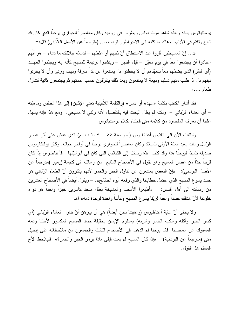بوستنيانوس بسنة ولعلَّه شاهد موت بولس وبطرس في رومية وكان معاصراً للحواري بوحنًا الذي كان قد شاخ ونقدّم في الأيام. وهاك ما كتبه الى الامبراطور نراجانوس (منرجماً عن الأصل اللأنيني) قال:–

«… إنّ المسيحيّين أقروا عند الاستنطاق أنّ ذنبهم أو غلطهم – لتسمّه جلالتك ما تشاء – هو أنّهم اعتادوا أن يجتمعوا معاً في يوم معيّن – قبل الفجر – وينشدوا نرنيمة للمسيح كأنّه إله ويجدّدوا العهــد (أي السّر) الذي يضمّهم معاً بنعهّدهم أن لا يخطئوا بل يمتنعوا عن كلّ سرقة ونـهب وزنـى وأن لا يخونوا دينهم بل اذا طلب منهم تسليم وديعة لا يمتنعون وبعد ذلك يتفرّقون حسب عادتهم ثم يجتمعون ثانية لتتاول طعام ....»

فقد أشار الكاتب بكلمة «عهد» أو «سر » (و الكلمة اللاُّتينية تعني الإثنين) إلى هذا الطقس وماهيّته – أي العشاء الرِّباني – ولكنَّه لم يطل البحث فيه بالتَّفصيل لأنه وثنـي لا مسيحي. ومـع هذا فإنـه يسهل علينا أن نعرف المقصود من كلامه متى قابلناه بكلام بوستتيانوس.

ولنلتفت الآن الى القدِّيس أغناطيوس (نحو سنة ٥٥ – ١٠٧ ب. م) الذي عاش على أثر عصر الرّسل ومات بعيد المئة الأولى للميلاد وكان معاصراً للحواري يوحنّا في أواخر حياته. وكان بوليكاربوس صديقه تلميذاً ليوحنًا هذا وقد كتب عدّة رسائل إلى الكنائس التي كان في أبرشيّتها. فأغناطيوس إذاً كان قريباً جدّاً من عصر المسيح وهو يقول في الأصحاح السّابع من رسالته الى كنيسة إزمير (مترجماً عن الأصل اليوناني):– «إنّ البعض يمتنعون عن نتاول الخبز والخمر لأنهم بنكرون أنّ الطعام الرّباني هو جسد يسوع المسيح الذي احتمل خطايانا والذي رفعه أبوه الصَّالح». – ويقول أيضـاً في الأصـحاح العشرين من رسالته الى أهل أفسس:- «أطيعوا الأسقف والمشيخة بعقل متَّحد كاسرين خبزاً واحداً هو دواء خلودنا لأنّ هنالك جسداً واحداً لربّنا يسو ع المسيح وكأساً واحدة لوحدة دمه» اهـ.

ولا يخفى أنّ غاية أغناطيوس (وغايتنا نحن أيضاً) هي أن يبرهن أنّ نتاول العشاء الرّباني (أي كسر الخبز وأكله وسكب الخمر وشربه) يستلزم الإيمان بحقيقة جسد المسيح المكسور لأجلنا ودمه المسفوك عن معاصينا. قال يوحنا فم الذهب في الأصحاح الثالث والخمسون من ملاحظاته على إنجيل متى (مترجما عن اليونانية):– «إذا كان المسيح لم يمت فإلى ماذا يرمز الخبز والخمر؟» فليلاحظ الأخ المسلم هذا القول.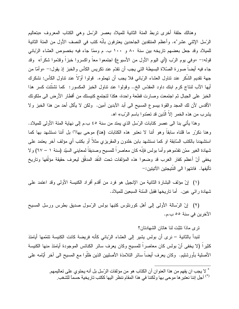وهنالك حلقة أخرى نربط المئة الثانية للميلاد بعصر الرِّسل وهي الكتاب المعروف «بتعاليم الرّسل الإثنـي عشر \*». وأعظم المنتقدين الجاحدين يعترفون بأنّه كتب في النصف الأول من المئة الثانية للميلاد وقد جعل بعضهم تاريخه بين سنة ٨٠ و ١٠٠ ب. م وممّا جاء فيه بخصوص العشاء الرّباني قوله:– «وفي يوم الرّب (أي اليوم الأول من الأسبوع) اجتمعوا معاً واكسروا خبزاً وقدّموا شكراً» وقد جاء فيه أيضـاً صورة الصّلاة البسيطة التي يجب أن نقدّم عند نكريس الكأس والخبز إذ يقول:– «وأمّا من جهة نقديم الشكر عند نتاول العشاء الرّباني فلا يجب أن نهملوه. قولوا أولاً عند نتاول الكأس: نشكرك أيها الآب لنتاج كرم ابنك داود المقدّس الخ.. وقولوا عند نتاول الخبز المكسور: كما نشنَّتت كسر هذا الخبز على الجبال ثم اجتمعت وصارت قطعة واحدة، هكذا لتجتمع كنيستك من أقطار الأرض الى ملكونك الأقدس لأن لك المحد والقوة بيسوع المسيح الى أبد الآبدين آمين. ولكن لا يأكل أحد من هذا الخبز ولا يشرب من هذه الخمر إلاّ الّذين قد تعمّدوا باسم الرّب» اه.

وهذا يأتني بنا الى عصر كتابات الرِّسل الذي يمتد من سنة ٤٥ ب.م إلى نهاية المئة الأولى للميلاد. وهنا نكرّر ما قلناه سابقاً وهو أننا لا نعتبر هذه الكتابات (هنا) موحى بها(\*) بل أننا نستشهد بها كما استشهدنا بالكتب السّابقة او كما نستشهد بابن خلدون والمقريزي مثلاً أو بكتب أي مؤلف آخر يعتمد على شهادة الغير ممّن نقدّموهم وأما بولس فإنّه كان معاصراً للمسيح وصديقاً لمعايني السيّد (سنة ١ – ٦٧) ولا يخفى أنّ أعظم كفار الغرب قد وضعوا هذه المؤلفات تحت النّقد المدقّق ليعرف حقيقة مؤلّفها وتاريخ تأليفها. فانتهوا الى النّتيجتين الآتيتين:–

(١) إنّ مؤلف البشارة الثانية من الإنجيل هو فرد من أقدم أفراد الكنيسة الأولى وقد اعتمد على شهادة رائي عين. أما ناريخها فقبل السّنة السبعين للميلاد.

(٢) إنَّ الرَّسالة الأولى إلى أهل كورنثوس كتبها بولس الرَّسول صديق بطرس ورسل المسيح الآخرين في سنة ٥٥ ب.م.

نر ي ماذا نثبّت لنا هاتان الشهادتان؟

لنبدأ بالثانية – نرى أن بولس يشير إلى العشاء الرّباني كأنه فريضة كانت الكنيسة تتمّمها أيامئذ كثيراً (لا يخفى أنّ بولس كان معاصراً للمسيح وكان يعرف سائر الكنائس الموجودة أيامئذ منها الكنيسة الأصلية بأورشليم. وكان يعرف أيضـاً سائر التلامذة الأصليين الذين ظلُّوا مع المسيح الـي آخر أُيَّامه علـي

<sup>\*</sup> لا يجب ان يفهم من هذا العنوان أن الكتاب هو من مؤلفات الرّسل بل أنه يحتوي على تعاليمهم.

<sup>(\*)</sup> أجل إننا نعتبر ها موحى بها ولكننا في هذا المقام ننظر اليها ككتب تاريخية حسماً للشغب ِ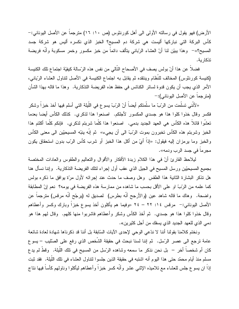الأرض) فهو يقول في رسالته الأولى الى أهل كورنثوس (ص ١٠: ١٦) مترجماً عن الأصل اليوناني:-كأس البركة التي نباركها أليست هي شركة دم المسيح؟ الخبز الذي نكسره أليس هو شركة جسد المسيح؟»– وهذا يبيّن لنا أنّ العشاء الرّباني يتألف دائماً من خبز مكسور وخمر مسكوبة وأنّه فريضة نذكار ية.

فضلاً عن هذا أنّ بولس يصف في الأصحاح النّالي من نفس هذه الرّسالة كيفيّة اجتماع تلك الكنيسة (كنيسة كورنثوس) المخالف للنُّظام وينتقده ثم يقابل به اجتماع الكنيسة في الأصل لتتاول العشاء الرّباني، الأمر الذي يجب أن يكون قدوة لسائر الكنائس في حفظ هذه الفريضة التذكارية. وهذا ما قاله بهذا الشأن (مترجماً عن الأصل اليوناني):–

«لأنَّني تسلَّمت من الرّبّ ما سلَّمتكم أيضاً أنّ الرّبّ يسو ع في اللَّيلة التي أسلم فيها أخذ خبزاً وشكر فكسر وقال خذوا كلوا هذا هو جسدي المكسور لأجلكم. اصنعوا هذا لذكري. كذلك الكأس أيضا بعدما تعشُّوا قائلاً هذه الكأس هي العهد الجديد بدمي. اصنعوا هذا كلَّما شربتم لذكري. فإنكم كلَّما أكلتم هذا الخبز وشربتم هذه الكأس تخبرون بموت الرّبّ الى أن يجيء» ثم إنّه ينبّه المسيحيّين الى معنى الكأس والخبز وما يرمزان إليه فيقول: «إذاً أيّ من أكل هذا الخبز ٍ أو شربٍ كأس الرّب بدون استحقاق يكون مجرما في جسد الرب ودمه».

لبلاحظ القارئ أنّ في هذا الكلام زبدة الأفكار والأقوال والنعاليم والطقوس والعادات المختصة بجميع المسيحيّين ورسل المسيح في الجيل الذي عقب أول إجراء لنلك الفريضة التذكارية. وإننا نسأل هنا هل نذكر البشارة الثانية هذا الطقس وهل وصف ما حدث عند إجرائه لأول مرَّة بوافق ما ذكره بولس كما علمه من الرّبّ او على الأقل بحسب ما شاهده من ممارسة هذه الفريضة في يومه؟ نعم إنّ المطابقة واضحة. وهاك ما قاله شاهد عين (والأرجح أنَّه بطرس) لصديق له (برجّح أنَّه مرفس) مترجماً عن الأصل اليوناني:− مرفس ١٤: ٢٢ – ٢٤ «وفيما هم يأكلون أخذ يسوع خبزاً وبارك وكسر وأعطاهم وقال خذوا كلوا هذا هو جسدي. ثم أخذ الكأس وشكر وأعطاهم فاشربوا منها كلهم. وقال لمهم هذا هو دمي الذي للعهد الجديد الذي يسفك من أجل كثيرين».

ونختم كلامنا بقولنا أننا لا ندّعى الوحى لإحدى الآيات السّابقة بل أننا قد ذكرناها شهادة لعادة شائعة عامة ترجع الى عصر الرّسل. ثم إننا لسنا نبحث في حقيقة الشّخص الذي رفع على الصّليب – يسو ع كان أم شخصاً أخر – بل نحن نذكر ما سمعه وشاهده الرّسل من المسيح في تلك اللّيلة. وقطُّ لم يدع مسلم منذ أيام محمّد حتى هذا اليوم أنه اشتبه في حقيقة الذين جلسوا لتناول العشاء في تلك اللّيلة. فقد ثبت إذاً ان يسوع جلس للعشاء مع نلاميذه الإثنـي عشر وأنَّه كسر خبزاً وأعطاهم ليأكلوا وناولـهم كأساً فيها نتاج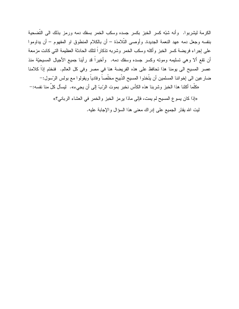الكرمة ليشربوا. وأنه شبَّه كسر الخبز بكسر جسده وسكب الخمر بسفك دمه ورمز بذلك الى التَّضحية بنفسه وجعل دمه عهد النعمة الجديدة. وأوصىي التَّلامذة – أن بالكلام المنطوق او المفهوم – أن يداوموا على إجراء فريضة كسر الخبز وأكله وسكب الخمر وشربه تذكاراً لنلك الحادثة العظيمة التي كانت مزمعة أن نقع ألا وهي تسليمه وموته وكسر جسده وسفك دمه. ۖ وأخيراً قد رأينا جميع الأجيال المسيحيّة منذ عصر المسيح الى يومنا هذا تحافظ على هذه الفريضة هنا في مصر وفي كل العالم. فنختم إذاً كلامنا ضار عين الى إخواننا المسلمين أن يتَّخذوا المسيح الذَّبيح مخلَّصاً وفادياً ويقولوا مع بولس الرَّسول:–

«كلَّما أكلنا هذا الخبز وشربنا هذه الكأس نخبر بموت الرّبّ إلى أن يجيء». ليسأل كلِّ منا نفسه:-

«إذا كان يسوع المسيح لم يمت، فإلى ماذا يرمز الخبز والخمر في العشاء الرباني؟»

لَّيْتِ الله يقدَّر الجميع على إدراك معنى هذا السؤال والإجابة عليه.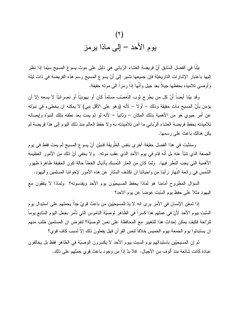

بيّنًا في الفصل السّابق أنّ فريضة العشاء الرّباني هي دليل على موت يسوع المسيح سيّما إذا نظر إليها باعتبار الإشارات التاريخيّة فإن جميعها تشير إلى أنّ يسوع المسيح رسم هذه الفريضة في ذات ليلة و أو صبي تلاميذه بحفظها جيلاً بعد جيل و أنَّها إذاً ر مز أ الى مو ته حقيقة.

و قد بيِّنا أبضاً أنّ كل من بطر ح ثوب التّعصيّب مسلماً كان أو بـهودبّاً أو نصر انبّاً لا بسعه إلا أن يؤمن بأنّ المسيح مات حقيقة وذلك – أو لاً – لأنه (و هو على الأقل نبي) لا يمكنه ان يخطىء في نبويّه عن أمر حيوي هو من الأهمية بذلك المكان – وثانياً – لأنه لو لم يمت بعد نطقه بتلك النبوّة وإيصائه تلاميذته بحفظ فريضة العشاء الرّباني ما أمن تلاميذته به ولا حفظ العالم منذ ذلك اليوم إلى هذا فريضة لم يكن هنالك باعث على رسمها.

وسنثبت في هذا الفصل حقيقة أخرى بنفس الطَّريقة فنبيّن أنّ يسو ع المسيح لم يمت فقط في يوم الجمعة الذي نتبًا عنه بل أنَّه قام في يوم الأحد الذي عقب مونه. ۖ ولا يخفي أنَّ ذلك من الأمور العظيمة الأهمية التي يجب النظر فيها. ۖ ولمّا كان من العار النّمسك بأذيال الخطأ حالة كون الحقيقة ظاهرة ظهور الشمس في رائعة النَّهار رأينا من واجباننا ان نكشف السَّنار عن هذه الأمور لإخواننا المسلمين واليهود.

السؤال المطروح أمامنا هو لماذا يحفظ المسيحيّون يوم الأحد ويقدسونه؟ ولماذا لا يتّفقون مع اليهود مثلا على حفظ يوم السّبت عوضاً عن يوم الاحد؟

إذا تمعّن الإنسان في الأمر بر ي انه لا بدّ للمسيحيّين من باعث قو يّ جدّاً يحملهم على استبدال بو م السَّبت بيوم الأحد لأنّ في عملهم هذا كسرا في الظاهر لوصيّة الناموس التي تأمر بجعل اليوم السَّابع يوما للرّاحة فكيف بمكن إحداث هذا للتغيير مع المحافظة على نصّ الوصيّة؟ لنفر ض ان المسلمين طلب منهم ان يستبدلوا يوم الجمعة بيوم الخميس خلافاً لنص القرآن فهل يفعلون ذلك إلاّ لسبب كاف قوي؟

ثم إن المسيحيِّين باستبدالهم يوم السبت بيوم الأحد لا يكسرون الوصيَّة في الظاهر فقظ بل يخالفون عبادة كانت شائعة منذ ألوف من الأجيال. ۖ فلا بدِّ إذاً من وجود باعث قوى حملهم على ذلك.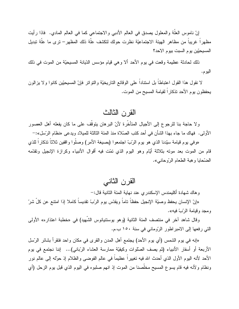إنَّ ناموس العلَّة والمعلول بصدق في العالم الأدبـي والاجتماعـي كما فـي العالم المادي. ۖ فاذا رأيت مظهراً غريباً من مظاهر الهيئة الاجتماعيّة نظرت حولك لتكشف علّة ذلك المظهر– ترى ما علّة تبديل المسيحيّين يوم السبت بيوم الاحد؟

ذلك لحادثة عظيمة وقعت في يوم الأحد ألا وهي قيام مؤسس الدّيانة المسيحيّة من الموت في ذلك اليوم.

لا نقول هذا القول اعتباطاً بل استناداً على الوقائع الناريخيّة والنواتر فإنّ المسيحيّين كانوا ولا يزالون يحفظون يوم الأحد نذكاراً لقيامة المسيح من الموت.

#### القرن الثالث

و لا حاجة بنا للرجوع إلى الأجيال المتأخَّرة لأنَّ البرهان يتوقَّف على ما كان يفعله أهل العصور الأولى. فهاك ما جاء بهذا الشأن في أحد كتب الصَّلاة منذ المئة الثالثة للميلاد ويدعى «نظام الرِّسل»:–

«وفي يوم قيامة سيّدنا الذي هو يوم الرّبّ اجتمعوا (بصيغة الأمر) وصلّوا واقفين ثلاثاً تذكاراً للذي قام من الموت بعد موته بثلاثة أيّام وهو اليوم الذي تمّت فيه أقوال الأنبياء وكرازة الإنجيل وتقدّمه الضّحايا وهبة الطعام الرّوحاني».

#### القر ن الثاني

و هاك شهادة أكليمندس الإسكندر ي عند نهاية المئة الثانية قال:-

«إنّ الإنسان بِحفظ وصبّة الإنجيل حفظاً ناماً ويقدّس بوم الرّبّ نقديساً كاملاً إذا امتنع عن كلّ شرّ و مجد و قبامة الربّ فبه».

وقال شاهد آخر في منتصف المئة الثانية (وهو يوستنيانوس الشَّهيد) في «خطبة اعتذاره» الأولى التي رفعها إلى الامبراطور الرّوماني في سنة ١٥٠ ب.م.

«إنه في يوم الشمس (أي يوم الأحد) يجتمع أهل المدن والقرى في مكان واحد فتقرأ بشائر الرَّسل الأربعة أو أسفار الأنبياء (ثم يصف الصَّلوات وكيفيَّة ممارسة العشاء الرّباني)... إننا نجتمع في يوم الأحد لأنه اليوم الأول الذي أحدث الله فيه تغييراً عظيماً في عالم الفوضـي والظـلام إذ حوَّله إلـي عالم نور ونظام ولأنه فيه قام يسوع المسيح مخلَّصنا من الموت إذ انهم صلبوه في اليوم الذي قبل يوم الزحل (أي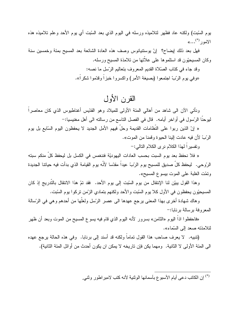بوم السَّبت) ولكنه عاد فظهر لنلاميذه ورسله في اليوم الذي بعد السَّبت أي يوم الأحد وعلم نلاميذه هذه  $\kappa$ الأمور (\*)

فهل بعد ذلك إيضاح؟ إنَّ بوسنتيانوس وصف هذه العادة الشائعة بعد المسيح بمئة وخمسين سنة وكان المسيحيّون قد استلموها على علانها من نلامذة المسيح ورسله.

> وقد جاء في كتاب الصَّلاة القديم المعروف بتعاليم الرَّسل ما نصه: «وفي يوم الرّبّ اجتمعوا (بصيغة الأمر) واكسروا خبزاً وقدّموا شكراً».

## القرن الأول

ونأتـى الآن الـى شاهد من أهالـى المئة الأولـى للميلاد وهو القدّيس أغناطيوس الذي كان معاصـراً ليوحنَّا الرَّسول في أواخر أيامه. ۖ قال في الفصل الناسع من رسالته الى أهل مغنيسيا:-

« إنّ الذين ربوا على النظامات القديمة وحلَّ فيهم الأمل الجديد لا يحفظون اليوم السَّابع بل يوم الرّبّ لأن فيه عادت الِّينا الحيو ة و قمنا من الموت».

ونفسيراً لهذا الكلام نرى الكلام النالي:-

« فلا نحفظ بعد يوم السبت بحسب العادات اليهوديّة فننغمس في الكسل بل ليحفظ كل منكم سبنه الرَّوحي. ليحفظ كلِّ صديق للمسيح يوم الرِّبِّ عيداً مقدَّسا لأنَّه يوم القيامة الذي بدأت فيه حياتنا الجديدة ونَمَّت الغلبة على الموت بيسوع المسيح».

وهذا القول بِبيِّن لنا الإنتقال من يوم السَّبت إلى يوم الأحد. فقد تمّ هذا الانتقال بالتَّدريج إذ كان المسيحيِّون بحفظون في الأول كلا يوم السَّبت والأحد ولكنهم بتمادى الزَّمن تركوا يوم السَّبت.

وهاك شهادة أخرى بهذا المعنى برجع عهدها الى عصر الرّسل ولعلّها من أحدهم وهي في الرّسالة المعروفة برسالة بر نابا:-

«فاحفظوا اذاً اليوم «الثامن» بسرور لأنه اليوم الذي قام فيه يسوع المسيح من الموت وبعد أن ظهر لتلامذته صعد الى السّماء».

(تتبيه. لا يعرف صاحب هذا القول تماماً ولكنه قد أسند إلى برنابا. وفي هذه الحالة برجع عهده الى المئة الأولى لا الثانية. ومهما يكن فإن تاريخه لا يمكن ان يكون أحدث من أوائل المئة الثانية).

ً) إن الكاتب دعي أيام الأسبوع بأسمائها الوثنية لأنه كتب لامبر اطور وثني.